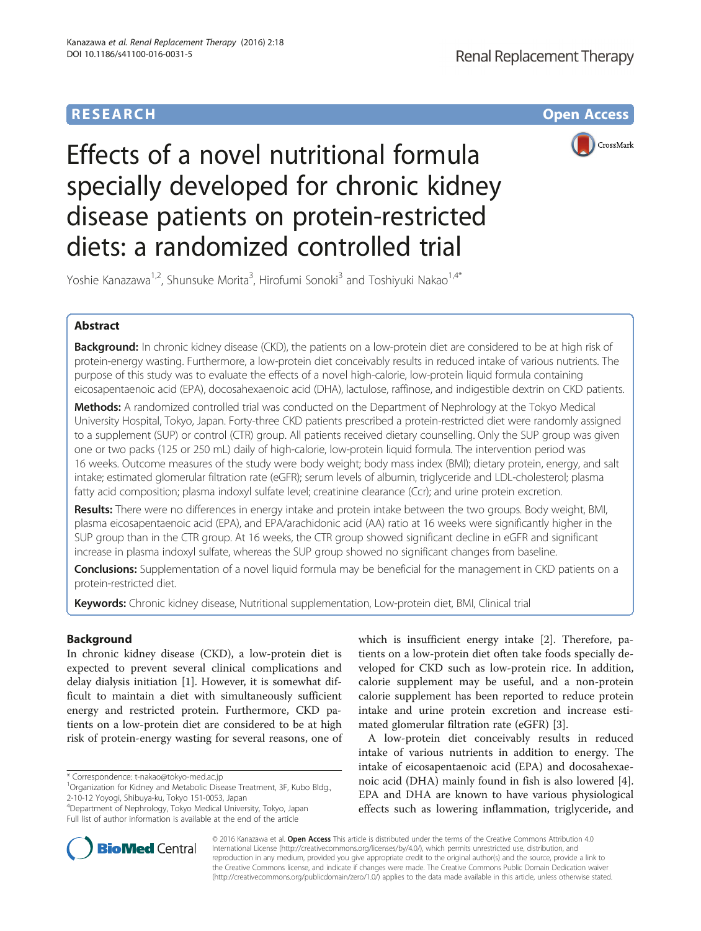

# Effects of a novel nutritional formula specially developed for chronic kidney disease patients on protein-restricted diets: a randomized controlled trial

Yoshie Kanazawa<sup>1,2</sup>, Shunsuke Morita<sup>3</sup>, Hirofumi Sonoki<sup>3</sup> and Toshiyuki Nakao<sup>1,4\*</sup>

# Abstract

Background: In chronic kidney disease (CKD), the patients on a low-protein diet are considered to be at high risk of protein-energy wasting. Furthermore, a low-protein diet conceivably results in reduced intake of various nutrients. The purpose of this study was to evaluate the effects of a novel high-calorie, low-protein liquid formula containing eicosapentaenoic acid (EPA), docosahexaenoic acid (DHA), lactulose, raffinose, and indigestible dextrin on CKD patients.

Methods: A randomized controlled trial was conducted on the Department of Nephrology at the Tokyo Medical University Hospital, Tokyo, Japan. Forty-three CKD patients prescribed a protein-restricted diet were randomly assigned to a supplement (SUP) or control (CTR) group. All patients received dietary counselling. Only the SUP group was given one or two packs (125 or 250 mL) daily of high-calorie, low-protein liquid formula. The intervention period was 16 weeks. Outcome measures of the study were body weight; body mass index (BMI); dietary protein, energy, and salt intake; estimated glomerular filtration rate (eGFR); serum levels of albumin, triglyceride and LDL-cholesterol; plasma fatty acid composition; plasma indoxyl sulfate level; creatinine clearance (Ccr); and urine protein excretion.

Results: There were no differences in energy intake and protein intake between the two groups. Body weight, BMI, plasma eicosapentaenoic acid (EPA), and EPA/arachidonic acid (AA) ratio at 16 weeks were significantly higher in the SUP group than in the CTR group. At 16 weeks, the CTR group showed significant decline in eGFR and significant increase in plasma indoxyl sulfate, whereas the SUP group showed no significant changes from baseline.

**Conclusions:** Supplementation of a novel liquid formula may be beneficial for the management in CKD patients on a protein-restricted diet.

Keywords: Chronic kidney disease, Nutritional supplementation, Low-protein diet, BMI, Clinical trial

# Background

In chronic kidney disease (CKD), a low-protein diet is expected to prevent several clinical complications and delay dialysis initiation [\[1](#page-7-0)]. However, it is somewhat difficult to maintain a diet with simultaneously sufficient energy and restricted protein. Furthermore, CKD patients on a low-protein diet are considered to be at high risk of protein-energy wasting for several reasons, one of

\* Correspondence: [t-nakao@tokyo-med.ac.jp](mailto:t-nakao@tokyo-med.ac.jp) <sup>1</sup>



A low-protein diet conceivably results in reduced intake of various nutrients in addition to energy. The intake of eicosapentaenoic acid (EPA) and docosahexaenoic acid (DHA) mainly found in fish is also lowered [\[4](#page-7-0)]. EPA and DHA are known to have various physiological effects such as lowering inflammation, triglyceride, and



© 2016 Kanazawa et al. Open Access This article is distributed under the terms of the Creative Commons Attribution 4.0 International License [\(http://creativecommons.org/licenses/by/4.0/](http://creativecommons.org/licenses/by/4.0/)), which permits unrestricted use, distribution, and reproduction in any medium, provided you give appropriate credit to the original author(s) and the source, provide a link to the Creative Commons license, and indicate if changes were made. The Creative Commons Public Domain Dedication waiver [\(http://creativecommons.org/publicdomain/zero/1.0/](http://creativecommons.org/publicdomain/zero/1.0/)) applies to the data made available in this article, unless otherwise stated.

<sup>&</sup>lt;sup>1</sup>Organization for Kidney and Metabolic Disease Treatment, 3F, Kubo Bldg. 2-10-12 Yoyogi, Shibuya-ku, Tokyo 151-0053, Japan

<sup>4</sup> Department of Nephrology, Tokyo Medical University, Tokyo, Japan Full list of author information is available at the end of the article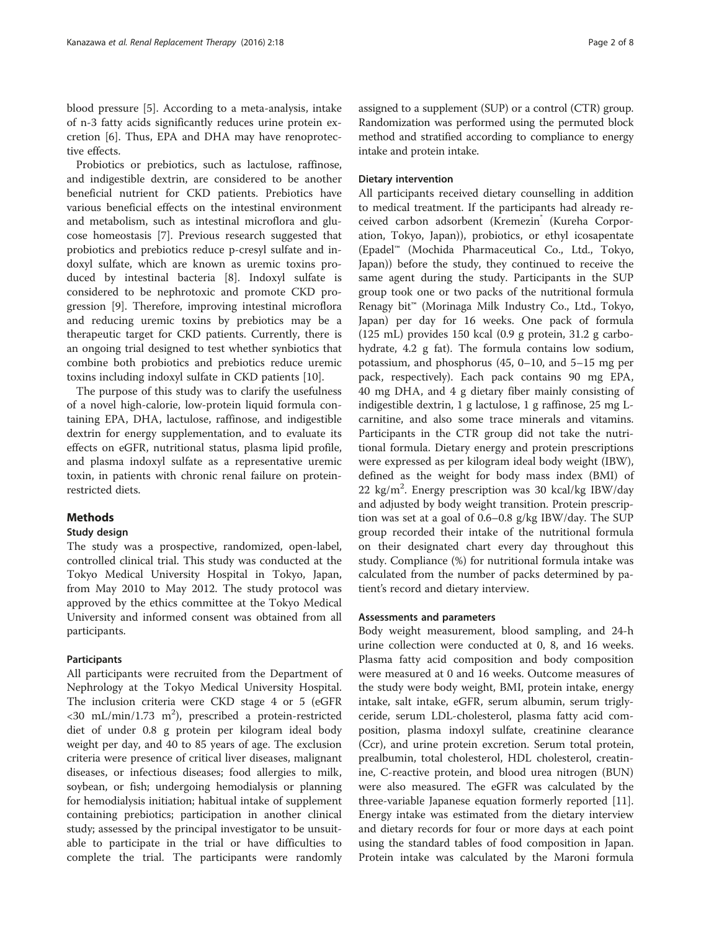blood pressure [[5\]](#page-7-0). According to a meta-analysis, intake of n-3 fatty acids significantly reduces urine protein excretion [\[6](#page-7-0)]. Thus, EPA and DHA may have renoprotective effects.

Probiotics or prebiotics, such as lactulose, raffinose, and indigestible dextrin, are considered to be another beneficial nutrient for CKD patients. Prebiotics have various beneficial effects on the intestinal environment and metabolism, such as intestinal microflora and glucose homeostasis [[7\]](#page-7-0). Previous research suggested that probiotics and prebiotics reduce p-cresyl sulfate and indoxyl sulfate, which are known as uremic toxins produced by intestinal bacteria [[8\]](#page-7-0). Indoxyl sulfate is considered to be nephrotoxic and promote CKD progression [[9\]](#page-7-0). Therefore, improving intestinal microflora and reducing uremic toxins by prebiotics may be a therapeutic target for CKD patients. Currently, there is an ongoing trial designed to test whether synbiotics that combine both probiotics and prebiotics reduce uremic toxins including indoxyl sulfate in CKD patients [[10](#page-7-0)].

The purpose of this study was to clarify the usefulness of a novel high-calorie, low-protein liquid formula containing EPA, DHA, lactulose, raffinose, and indigestible dextrin for energy supplementation, and to evaluate its effects on eGFR, nutritional status, plasma lipid profile, and plasma indoxyl sulfate as a representative uremic toxin, in patients with chronic renal failure on proteinrestricted diets.

## Methods

## Study design

The study was a prospective, randomized, open-label, controlled clinical trial. This study was conducted at the Tokyo Medical University Hospital in Tokyo, Japan, from May 2010 to May 2012. The study protocol was approved by the ethics committee at the Tokyo Medical University and informed consent was obtained from all participants.

## Participants

All participants were recruited from the Department of Nephrology at the Tokyo Medical University Hospital. The inclusion criteria were CKD stage 4 or 5 (eGFR  $<$  30 mL/min/1.73 m<sup>2</sup>), prescribed a protein-restricted diet of under 0.8 g protein per kilogram ideal body weight per day, and 40 to 85 years of age. The exclusion criteria were presence of critical liver diseases, malignant diseases, or infectious diseases; food allergies to milk, soybean, or fish; undergoing hemodialysis or planning for hemodialysis initiation; habitual intake of supplement containing prebiotics; participation in another clinical study; assessed by the principal investigator to be unsuitable to participate in the trial or have difficulties to complete the trial. The participants were randomly

assigned to a supplement (SUP) or a control (CTR) group. Randomization was performed using the permuted block method and stratified according to compliance to energy intake and protein intake.

## Dietary intervention

All participants received dietary counselling in addition to medical treatment. If the participants had already received carbon adsorbent (Kremezin<sup>®</sup> (Kureha Corporation, Tokyo, Japan)), probiotics, or ethyl icosapentate (Epadel™ (Mochida Pharmaceutical Co., Ltd., Tokyo, Japan)) before the study, they continued to receive the same agent during the study. Participants in the SUP group took one or two packs of the nutritional formula Renagy bit™ (Morinaga Milk Industry Co., Ltd., Tokyo, Japan) per day for 16 weeks. One pack of formula (125 mL) provides 150 kcal (0.9 g protein, 31.2 g carbohydrate, 4.2 g fat). The formula contains low sodium, potassium, and phosphorus (45, 0–10, and 5–15 mg per pack, respectively). Each pack contains 90 mg EPA, 40 mg DHA, and 4 g dietary fiber mainly consisting of indigestible dextrin, 1 g lactulose, 1 g raffinose, 25 mg Lcarnitine, and also some trace minerals and vitamins. Participants in the CTR group did not take the nutritional formula. Dietary energy and protein prescriptions were expressed as per kilogram ideal body weight (IBW), defined as the weight for body mass index (BMI) of 22 kg/m<sup>2</sup> . Energy prescription was 30 kcal/kg IBW/day and adjusted by body weight transition. Protein prescription was set at a goal of 0.6–0.8 g/kg IBW/day. The SUP group recorded their intake of the nutritional formula on their designated chart every day throughout this study. Compliance (%) for nutritional formula intake was calculated from the number of packs determined by patient's record and dietary interview.

#### Assessments and parameters

Body weight measurement, blood sampling, and 24-h urine collection were conducted at 0, 8, and 16 weeks. Plasma fatty acid composition and body composition were measured at 0 and 16 weeks. Outcome measures of the study were body weight, BMI, protein intake, energy intake, salt intake, eGFR, serum albumin, serum triglyceride, serum LDL-cholesterol, plasma fatty acid composition, plasma indoxyl sulfate, creatinine clearance (Ccr), and urine protein excretion. Serum total protein, prealbumin, total cholesterol, HDL cholesterol, creatinine, C-reactive protein, and blood urea nitrogen (BUN) were also measured. The eGFR was calculated by the three-variable Japanese equation formerly reported [\[11](#page-7-0)]. Energy intake was estimated from the dietary interview and dietary records for four or more days at each point using the standard tables of food composition in Japan. Protein intake was calculated by the Maroni formula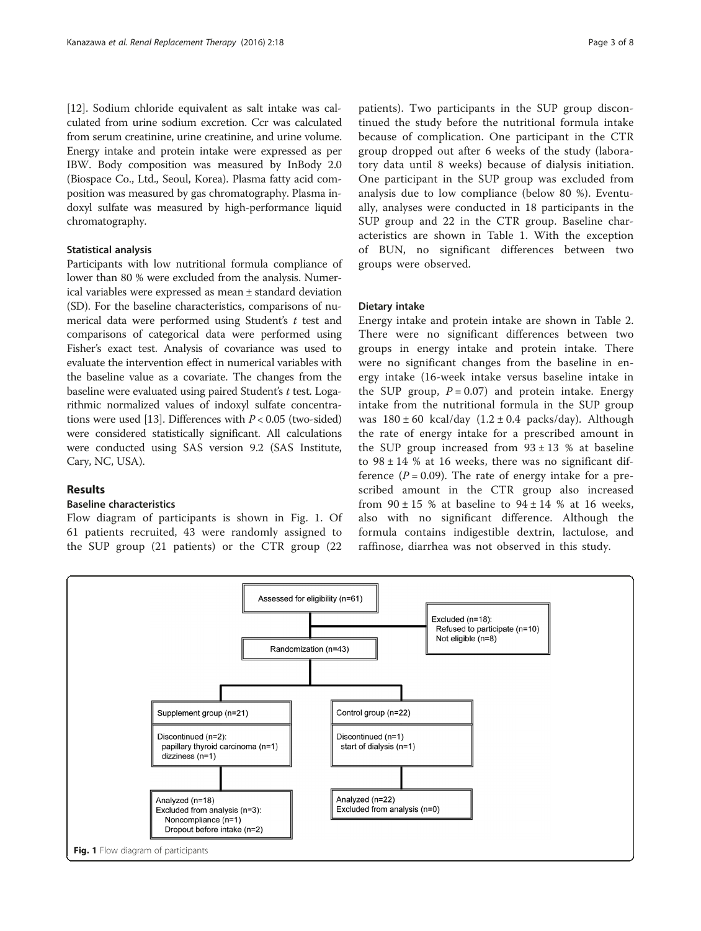[[12\]](#page-7-0). Sodium chloride equivalent as salt intake was calculated from urine sodium excretion. Ccr was calculated from serum creatinine, urine creatinine, and urine volume. Energy intake and protein intake were expressed as per IBW. Body composition was measured by InBody 2.0 (Biospace Co., Ltd., Seoul, Korea). Plasma fatty acid composition was measured by gas chromatography. Plasma indoxyl sulfate was measured by high-performance liquid chromatography.

## Statistical analysis

Participants with low nutritional formula compliance of lower than 80 % were excluded from the analysis. Numerical variables were expressed as mean ± standard deviation (SD). For the baseline characteristics, comparisons of numerical data were performed using Student's  $t$  test and comparisons of categorical data were performed using Fisher's exact test. Analysis of covariance was used to evaluate the intervention effect in numerical variables with the baseline value as a covariate. The changes from the baseline were evaluated using paired Student's  $t$  test. Logarithmic normalized values of indoxyl sulfate concentra-tions were used [\[13\]](#page-7-0). Differences with  $P < 0.05$  (two-sided) were considered statistically significant. All calculations were conducted using SAS version 9.2 (SAS Institute, Cary, NC, USA).

## Results

## Baseline characteristics

Flow diagram of participants is shown in Fig. 1. Of 61 patients recruited, 43 were randomly assigned to the SUP group (21 patients) or the CTR group (22

patients). Two participants in the SUP group discontinued the study before the nutritional formula intake because of complication. One participant in the CTR group dropped out after 6 weeks of the study (laboratory data until 8 weeks) because of dialysis initiation. One participant in the SUP group was excluded from analysis due to low compliance (below 80 %). Eventually, analyses were conducted in 18 participants in the SUP group and 22 in the CTR group. Baseline characteristics are shown in Table [1.](#page-3-0) With the exception of BUN, no significant differences between two groups were observed.

#### Dietary intake

Energy intake and protein intake are shown in Table [2](#page-3-0). There were no significant differences between two groups in energy intake and protein intake. There were no significant changes from the baseline in energy intake (16-week intake versus baseline intake in the SUP group,  $P = 0.07$ ) and protein intake. Energy intake from the nutritional formula in the SUP group was  $180 \pm 60$  kcal/day  $(1.2 \pm 0.4$  packs/day). Although the rate of energy intake for a prescribed amount in the SUP group increased from  $93 \pm 13$  % at baseline to  $98 \pm 14$  % at 16 weeks, there was no significant difference ( $P = 0.09$ ). The rate of energy intake for a prescribed amount in the CTR group also increased from  $90 \pm 15$  % at baseline to  $94 \pm 14$  % at 16 weeks, also with no significant difference. Although the formula contains indigestible dextrin, lactulose, and raffinose, diarrhea was not observed in this study.

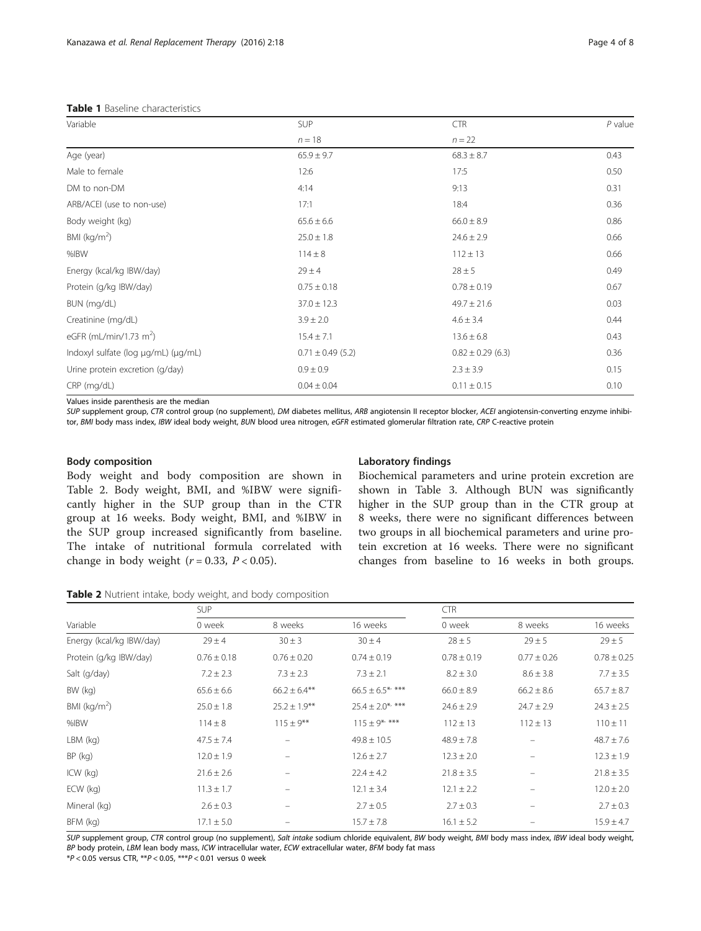<span id="page-3-0"></span>

| Variable                            | <b>SUP</b>            | <b>CTR</b>            | $P$ value |
|-------------------------------------|-----------------------|-----------------------|-----------|
|                                     | $n = 18$              | $n = 22$              |           |
| Age (year)                          | $65.9 \pm 9.7$        | $68.3 \pm 8.7$        | 0.43      |
| Male to female                      | 12:6                  | 17:5                  | 0.50      |
| DM to non-DM                        | 4:14                  | 9:13                  | 0.31      |
| ARB/ACEI (use to non-use)           | 17:1                  | 18:4                  | 0.36      |
| Body weight (kg)                    | $65.6 \pm 6.6$        | $66.0 \pm 8.9$        | 0.86      |
| BMI ( $kg/m2$ )                     | $25.0 \pm 1.8$        | $24.6 \pm 2.9$        | 0.66      |
| %IBW                                | $114 \pm 8$           | $112 \pm 13$          | 0.66      |
| Energy (kcal/kg IBW/day)            | $29 \pm 4$            | $28 \pm 5$            | 0.49      |
| Protein (g/kg IBW/day)              | $0.75 \pm 0.18$       | $0.78 \pm 0.19$       | 0.67      |
| BUN (mg/dL)                         | $37.0 \pm 12.3$       | $49.7 \pm 21.6$       | 0.03      |
| Creatinine (mg/dL)                  | $3.9 \pm 2.0$         | $4.6 \pm 3.4$         | 0.44      |
| eGFR (mL/min/1.73 m <sup>2</sup> )  | $15.4 \pm 7.1$        | $13.6 \pm 6.8$        | 0.43      |
| Indoxyl sulfate (log µg/mL) (µg/mL) | $0.71 \pm 0.49$ (5.2) | $0.82 \pm 0.29$ (6.3) | 0.36      |
| Urine protein excretion (g/day)     | $0.9 \pm 0.9$         | $2.3 \pm 3.9$         | 0.15      |
| CRP (mg/dL)                         | $0.04 \pm 0.04$       | $0.11 \pm 0.15$       | 0.10      |

Values inside parenthesis are the median

SUP supplement group, CTR control group (no supplement), DM diabetes mellitus, ARB angiotensin II receptor blocker, ACEI angiotensin-converting enzyme inhibitor, BMI body mass index, IBW ideal body weight, BUN blood urea nitrogen, eGFR estimated glomerular filtration rate, CRP C-reactive protein

## Body composition

Body weight and body composition are shown in Table 2. Body weight, BMI, and %IBW were significantly higher in the SUP group than in the CTR group at 16 weeks. Body weight, BMI, and %IBW in the SUP group increased significantly from baseline. The intake of nutritional formula correlated with change in body weight  $(r = 0.33, P < 0.05)$ .

## Laboratory findings

Biochemical parameters and urine protein excretion are shown in Table [3.](#page-4-0) Although BUN was significantly higher in the SUP group than in the CTR group at 8 weeks, there were no significant differences between two groups in all biochemical parameters and urine protein excretion at 16 weeks. There were no significant changes from baseline to 16 weeks in both groups.

Table 2 Nutrient intake, body weight, and body composition

|                          | <b>SUP</b>      |                   |                       | <b>CTR</b>      |                 |                 |  |
|--------------------------|-----------------|-------------------|-----------------------|-----------------|-----------------|-----------------|--|
| Variable                 | 0 week          | 8 weeks           | 16 weeks              | 0 week          | 8 weeks         | 16 weeks        |  |
| Energy (kcal/kg IBW/day) | $29 \pm 4$      | $30 \pm 3$        | $30 \pm 4$            | $28 \pm 5$      | $29 \pm 5$      | $29 \pm 5$      |  |
| Protein (g/kg IBW/day)   | $0.76 \pm 0.18$ | $0.76 \pm 0.20$   | $0.74 \pm 0.19$       | $0.78 \pm 0.19$ | $0.77 \pm 0.26$ | $0.78 \pm 0.25$ |  |
| Salt (g/day)             | $7.2 \pm 2.3$   | $7.3 \pm 2.3$     | $7.3 \pm 2.1$         | $8.2 \pm 3.0$   | $8.6 \pm 3.8$   | $7.7 \pm 3.5$   |  |
| BW (kg)                  | $65.6 \pm 6.6$  | $66.2 \pm 6.4***$ | $66.5 \pm 6.5$ *, *** | $66.0 \pm 8.9$  | $66.2 \pm 8.6$  | $65.7 \pm 8.7$  |  |
| BMI ( $kg/m2$ )          | $25.0 \pm 1.8$  | $25.2 \pm 1.9***$ | $25.4 \pm 2.0$ *, *** | $24.6 \pm 2.9$  | $24.7 \pm 2.9$  | $24.3 \pm 2.5$  |  |
| %IBW                     | $114 \pm 8$     | $115 \pm 9***$    | $115 \pm 9$ * ***     | $112 \pm 13$    | $112 \pm 13$    | $110 \pm 11$    |  |
| $LBM$ (kg)               | $47.5 \pm 7.4$  |                   | $49.8 \pm 10.5$       | $48.9 \pm 7.8$  |                 | $48.7 \pm 7.6$  |  |
| BP (kg)                  | $12.0 \pm 1.9$  | -                 | $12.6 \pm 2.7$        | $12.3 \pm 2.0$  |                 | $12.3 \pm 1.9$  |  |
| $ICW$ (kg)               | $21.6 \pm 2.6$  |                   | $22.4 \pm 4.2$        | $21.8 \pm 3.5$  |                 | $21.8 \pm 3.5$  |  |
| $ECW$ (kg)               | $11.3 \pm 1.7$  | $\equiv$          | $12.1 \pm 3.4$        | $12.1 \pm 2.2$  | -               | $12.0 \pm 2.0$  |  |
| Mineral (kg)             | $2.6 \pm 0.3$   |                   | $2.7 \pm 0.5$         | $2.7 \pm 0.3$   |                 | $2.7 \pm 0.3$   |  |
| BFM (kg)                 | $17.1 \pm 5.0$  |                   | $15.7 \pm 7.8$        | $16.1 \pm 5.2$  |                 | $15.9 \pm 4.7$  |  |

SUP supplement group, CTR control group (no supplement), Salt intake sodium chloride equivalent, BW body weight, BMI body mass index, IBW ideal body weight, BP body protein, LBM lean body mass, ICW intracellular water, ECW extracellular water, BFM body fat mass

\*P < 0.05 versus CTR, \*\*P < 0.05, \*\*\*P < 0.01 versus 0 week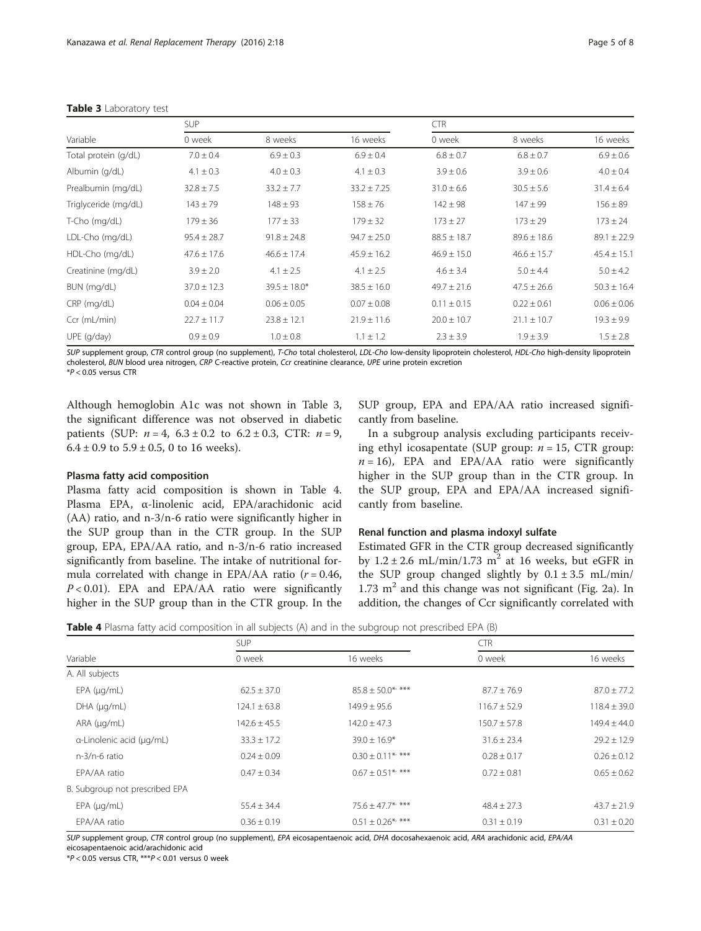|                      | <b>SUP</b>      |                  |                 | <b>CTR</b>      |                 |                 |
|----------------------|-----------------|------------------|-----------------|-----------------|-----------------|-----------------|
| Variable             | 0 week          | 8 weeks          | 16 weeks        | 0 week          | 8 weeks         | 16 weeks        |
| Total protein (g/dL) | $7.0 \pm 0.4$   | $6.9 \pm 0.3$    | $6.9 \pm 0.4$   | $6.8 \pm 0.7$   | $6.8 \pm 0.7$   | $6.9 \pm 0.6$   |
| Albumin (g/dL)       | $4.1 \pm 0.3$   | $4.0 \pm 0.3$    | $4.1 \pm 0.3$   | $3.9 \pm 0.6$   | $3.9 \pm 0.6$   | $4.0 \pm 0.4$   |
| Prealbumin (mg/dL)   | $32.8 \pm 7.5$  | $33.2 \pm 7.7$   | $33.2 \pm 7.25$ | $31.0 \pm 6.6$  | $30.5 \pm 5.6$  | $31.4 \pm 6.4$  |
| Triglyceride (mg/dL) | $143 \pm 79$    | $148 \pm 93$     | $158 \pm 76$    | $142 \pm 98$    | $147 \pm 99$    | $156 \pm 89$    |
| T-Cho (mg/dL)        | $179 \pm 36$    | $177 \pm 33$     | $179 \pm 32$    | $173 \pm 27$    | $173 \pm 29$    | $173 \pm 24$    |
| LDL-Cho (mg/dL)      | $95.4 \pm 28.7$ | $91.8 \pm 24.8$  | $94.7 \pm 25.0$ | $88.5 \pm 18.7$ | $89.6 \pm 18.6$ | $89.1 \pm 22.9$ |
| HDL-Cho (mg/dL)      | $47.6 \pm 17.6$ | $46.6 \pm 17.4$  | $45.9 \pm 16.2$ | $46.9 \pm 15.0$ | $46.6 \pm 15.7$ | $45.4 \pm 15.1$ |
| Creatinine (mg/dL)   | $3.9 \pm 2.0$   | $4.1 \pm 2.5$    | $4.1 \pm 2.5$   | $4.6 \pm 3.4$   | $5.0 \pm 4.4$   | $5.0 \pm 4.2$   |
| BUN (mg/dL)          | $37.0 \pm 12.3$ | $39.5 \pm 18.0*$ | $38.5 \pm 16.0$ | $49.7 \pm 21.6$ | $47.5 \pm 26.6$ | $50.3 \pm 16.4$ |
| CRP (mg/dL)          | $0.04 \pm 0.04$ | $0.06 \pm 0.05$  | $0.07 \pm 0.08$ | $0.11 \pm 0.15$ | $0.22 \pm 0.61$ | $0.06 \pm 0.06$ |
| Ccr (mL/min)         | $22.7 \pm 11.7$ | $23.8 \pm 12.1$  | $21.9 \pm 11.6$ | $20.0 \pm 10.7$ | $21.1 \pm 10.7$ | $19.3 \pm 9.9$  |
| $UPE$ ( $q$ /day)    | $0.9 \pm 0.9$   | $1.0 \pm 0.8$    | $1.1 \pm 1.2$   | $2.3 \pm 3.9$   | $1.9 \pm 3.9$   | $1.5 \pm 2.8$   |

#### <span id="page-4-0"></span>Table 3 Laboratory test

SUP supplement group, CTR control group (no supplement), T-Cho total cholesterol, LDL-Cho low-density lipoprotein cholesterol, HDL-Cho high-density lipoprotein cholesterol, BUN blood urea nitrogen, CRP C-reactive protein, Ccr creatinine clearance, UPE urine protein excretion  $*P < 0.05$  versus CTR

Although hemoglobin A1c was not shown in Table 3, the significant difference was not observed in diabetic patients (SUP:  $n = 4$ ,  $6.3 \pm 0.2$  to  $6.2 \pm 0.3$ , CTR:  $n = 9$ ,  $6.4 \pm 0.9$  to  $5.9 \pm 0.5$ , 0 to 16 weeks).

## Plasma fatty acid composition

Plasma fatty acid composition is shown in Table 4. Plasma EPA, α-linolenic acid, EPA/arachidonic acid (AA) ratio, and n-3/n-6 ratio were significantly higher in the SUP group than in the CTR group. In the SUP group, EPA, EPA/AA ratio, and n-3/n-6 ratio increased significantly from baseline. The intake of nutritional formula correlated with change in EPA/AA ratio  $(r = 0.46,$  $P < 0.01$ ). EPA and EPA/AA ratio were significantly higher in the SUP group than in the CTR group. In the SUP group, EPA and EPA/AA ratio increased significantly from baseline.

In a subgroup analysis excluding participants receiving ethyl icosapentate (SUP group:  $n = 15$ , CTR group:  $n = 16$ ), EPA and EPA/AA ratio were significantly higher in the SUP group than in the CTR group. In the SUP group, EPA and EPA/AA increased significantly from baseline.

## Renal function and plasma indoxyl sulfate

Estimated GFR in the CTR group decreased significantly by  $1.2 \pm 2.6$  mL/min/1.73 m<sup>2</sup> at 16 weeks, but eGFR in the SUP group changed slightly by  $0.1 \pm 3.5$  mL/min/  $1.73$  m<sup>2</sup> and this change was not significant (Fig. [2a](#page-5-0)). In addition, the changes of Ccr significantly correlated with

| <b>Table 4</b> Plasma fatty acid composition in all subjects (A) and in the subgroup not prescribed EPA (B) |  |  |  |  |  |  |  |  |  |
|-------------------------------------------------------------------------------------------------------------|--|--|--|--|--|--|--|--|--|
|-------------------------------------------------------------------------------------------------------------|--|--|--|--|--|--|--|--|--|

|                                | <b>SUP</b>       |                                  | <b>CTR</b>       |                  |  |
|--------------------------------|------------------|----------------------------------|------------------|------------------|--|
| Variable                       | 0 week           | 16 weeks                         | 0 week           | 16 weeks         |  |
| A. All subjects                |                  |                                  |                  |                  |  |
| $EPA$ ( $\mu$ g/mL)            | $62.5 \pm 37.0$  | $85.8 \pm 50.0$ *, ***           | $87.7 \pm 76.9$  | $87.0 \pm 77.2$  |  |
| $DHA$ ( $\mu$ g/mL)            | $124.1 \pm 63.8$ | $149.9 \pm 95.6$                 | $116.7 \pm 52.9$ | $118.4 \pm 39.0$ |  |
| ARA (µq/mL)                    | $142.6 \pm 45.5$ | $142.0 \pm 47.3$                 | $150.7 \pm 57.8$ | $149.4 \pm 44.0$ |  |
| a-Linolenic acid (µg/mL)       | $33.3 \pm 17.2$  | $39.0 \pm 16.9*$                 | $31.6 \pm 23.4$  | $29.2 \pm 12.9$  |  |
| n-3/n-6 ratio                  | $0.24 \pm 0.09$  | $0.30 \pm 0.11$ <sup>*</sup>     | $0.28 \pm 0.17$  | $0.26 \pm 0.12$  |  |
| EPA/AA ratio                   | $0.47 \pm 0.34$  | $0.67 \pm 0.51$ * ***            | $0.72 \pm 0.81$  | $0.65 \pm 0.62$  |  |
| B. Subgroup not prescribed EPA |                  |                                  |                  |                  |  |
| $EPA$ ( $\mu$ g/mL)            | $55.4 \pm 34.4$  | $75.6 \pm 47.7$ <sup>*</sup> *** | $48.4 \pm 27.3$  | $43.7 \pm 21.9$  |  |
| EPA/AA ratio                   | $0.36 \pm 0.19$  | $0.51 \pm 0.26$ * ***            | $0.31 \pm 0.19$  | $0.31 \pm 0.20$  |  |

SUP supplement group, CTR control group (no supplement), EPA eicosapentaenoic acid, DHA docosahexaenoic acid, ARA arachidonic acid, EPA/AA eicosapentaenoic acid/arachidonic acid

 $*P < 0.05$  versus CTR,  $**P < 0.01$  versus 0 week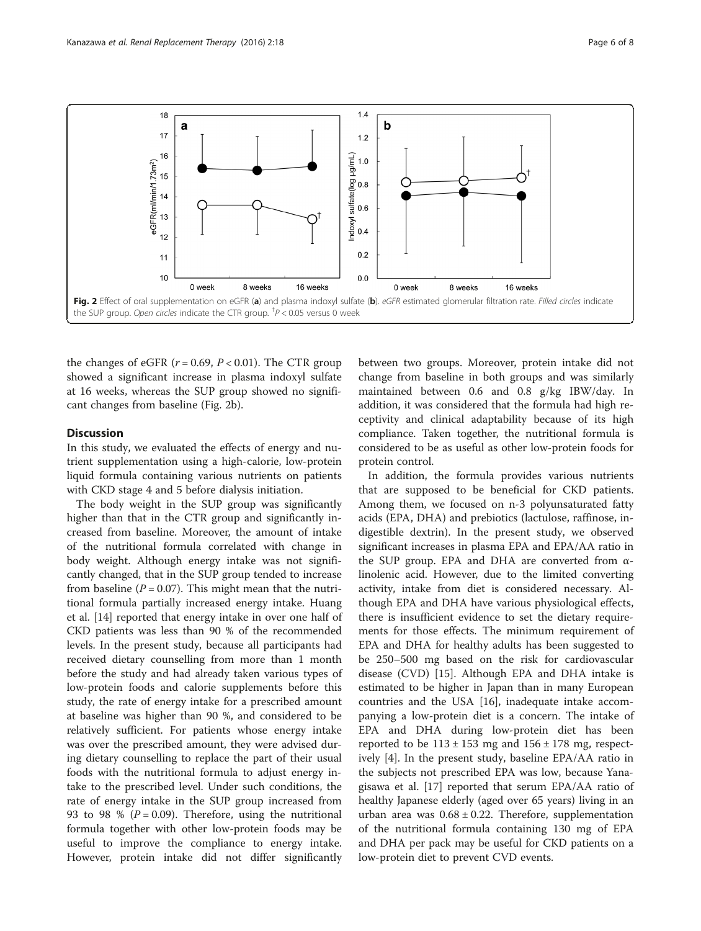<span id="page-5-0"></span>

the changes of eGFR  $(r = 0.69, P < 0.01)$ . The CTR group showed a significant increase in plasma indoxyl sulfate at 16 weeks, whereas the SUP group showed no significant changes from baseline (Fig. 2b).

## **Discussion**

In this study, we evaluated the effects of energy and nutrient supplementation using a high-calorie, low-protein liquid formula containing various nutrients on patients with CKD stage 4 and 5 before dialysis initiation.

The body weight in the SUP group was significantly higher than that in the CTR group and significantly increased from baseline. Moreover, the amount of intake of the nutritional formula correlated with change in body weight. Although energy intake was not significantly changed, that in the SUP group tended to increase from baseline ( $P = 0.07$ ). This might mean that the nutritional formula partially increased energy intake. Huang et al. [[14\]](#page-7-0) reported that energy intake in over one half of CKD patients was less than 90 % of the recommended levels. In the present study, because all participants had received dietary counselling from more than 1 month before the study and had already taken various types of low-protein foods and calorie supplements before this study, the rate of energy intake for a prescribed amount at baseline was higher than 90 %, and considered to be relatively sufficient. For patients whose energy intake was over the prescribed amount, they were advised during dietary counselling to replace the part of their usual foods with the nutritional formula to adjust energy intake to the prescribed level. Under such conditions, the rate of energy intake in the SUP group increased from 93 to 98 % ( $P = 0.09$ ). Therefore, using the nutritional formula together with other low-protein foods may be useful to improve the compliance to energy intake. However, protein intake did not differ significantly between two groups. Moreover, protein intake did not change from baseline in both groups and was similarly maintained between 0.6 and 0.8 g/kg IBW/day. In addition, it was considered that the formula had high receptivity and clinical adaptability because of its high compliance. Taken together, the nutritional formula is considered to be as useful as other low-protein foods for protein control.

In addition, the formula provides various nutrients that are supposed to be beneficial for CKD patients. Among them, we focused on n-3 polyunsaturated fatty acids (EPA, DHA) and prebiotics (lactulose, raffinose, indigestible dextrin). In the present study, we observed significant increases in plasma EPA and EPA/AA ratio in the SUP group. EPA and DHA are converted from αlinolenic acid. However, due to the limited converting activity, intake from diet is considered necessary. Although EPA and DHA have various physiological effects, there is insufficient evidence to set the dietary requirements for those effects. The minimum requirement of EPA and DHA for healthy adults has been suggested to be 250–500 mg based on the risk for cardiovascular disease (CVD) [[15](#page-7-0)]. Although EPA and DHA intake is estimated to be higher in Japan than in many European countries and the USA [[16](#page-7-0)], inadequate intake accompanying a low-protein diet is a concern. The intake of EPA and DHA during low-protein diet has been reported to be  $113 \pm 153$  mg and  $156 \pm 178$  mg, respectively [[4\]](#page-7-0). In the present study, baseline EPA/AA ratio in the subjects not prescribed EPA was low, because Yanagisawa et al. [\[17](#page-7-0)] reported that serum EPA/AA ratio of healthy Japanese elderly (aged over 65 years) living in an urban area was  $0.68 \pm 0.22$ . Therefore, supplementation of the nutritional formula containing 130 mg of EPA and DHA per pack may be useful for CKD patients on a low-protein diet to prevent CVD events.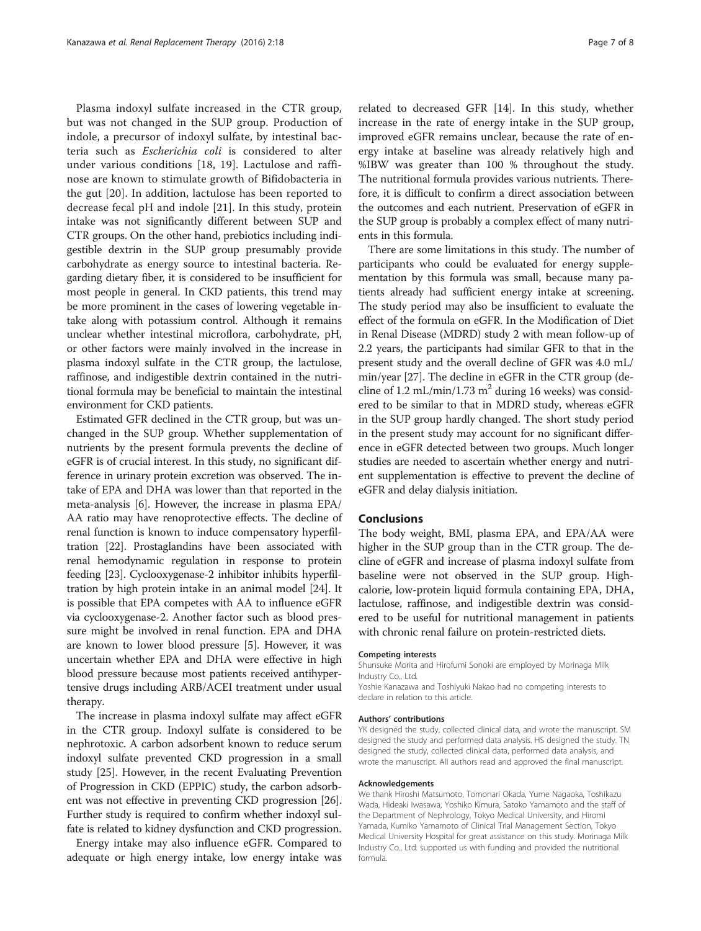Plasma indoxyl sulfate increased in the CTR group, but was not changed in the SUP group. Production of indole, a precursor of indoxyl sulfate, by intestinal bacteria such as Escherichia coli is considered to alter under various conditions [[18, 19](#page-7-0)]. Lactulose and raffinose are known to stimulate growth of Bifidobacteria in the gut [[20](#page-7-0)]. In addition, lactulose has been reported to decrease fecal pH and indole [[21](#page-7-0)]. In this study, protein intake was not significantly different between SUP and CTR groups. On the other hand, prebiotics including indigestible dextrin in the SUP group presumably provide carbohydrate as energy source to intestinal bacteria. Regarding dietary fiber, it is considered to be insufficient for most people in general. In CKD patients, this trend may be more prominent in the cases of lowering vegetable intake along with potassium control. Although it remains unclear whether intestinal microflora, carbohydrate, pH, or other factors were mainly involved in the increase in plasma indoxyl sulfate in the CTR group, the lactulose, raffinose, and indigestible dextrin contained in the nutritional formula may be beneficial to maintain the intestinal environment for CKD patients.

Estimated GFR declined in the CTR group, but was unchanged in the SUP group. Whether supplementation of nutrients by the present formula prevents the decline of eGFR is of crucial interest. In this study, no significant difference in urinary protein excretion was observed. The intake of EPA and DHA was lower than that reported in the meta-analysis [[6](#page-7-0)]. However, the increase in plasma EPA/ AA ratio may have renoprotective effects. The decline of renal function is known to induce compensatory hyperfiltration [[22](#page-7-0)]. Prostaglandins have been associated with renal hemodynamic regulation in response to protein feeding [\[23\]](#page-7-0). Cyclooxygenase-2 inhibitor inhibits hyperfiltration by high protein intake in an animal model [\[24\]](#page-7-0). It is possible that EPA competes with AA to influence eGFR via cyclooxygenase-2. Another factor such as blood pressure might be involved in renal function. EPA and DHA are known to lower blood pressure [\[5](#page-7-0)]. However, it was uncertain whether EPA and DHA were effective in high blood pressure because most patients received antihypertensive drugs including ARB/ACEI treatment under usual therapy.

The increase in plasma indoxyl sulfate may affect eGFR in the CTR group. Indoxyl sulfate is considered to be nephrotoxic. A carbon adsorbent known to reduce serum indoxyl sulfate prevented CKD progression in a small study [\[25\]](#page-7-0). However, in the recent Evaluating Prevention of Progression in CKD (EPPIC) study, the carbon adsorbent was not effective in preventing CKD progression [[26](#page-7-0)]. Further study is required to confirm whether indoxyl sulfate is related to kidney dysfunction and CKD progression.

Energy intake may also influence eGFR. Compared to adequate or high energy intake, low energy intake was

related to decreased GFR [[14](#page-7-0)]. In this study, whether increase in the rate of energy intake in the SUP group, improved eGFR remains unclear, because the rate of energy intake at baseline was already relatively high and %IBW was greater than 100 % throughout the study. The nutritional formula provides various nutrients. Therefore, it is difficult to confirm a direct association between the outcomes and each nutrient. Preservation of eGFR in the SUP group is probably a complex effect of many nutrients in this formula.

There are some limitations in this study. The number of participants who could be evaluated for energy supplementation by this formula was small, because many patients already had sufficient energy intake at screening. The study period may also be insufficient to evaluate the effect of the formula on eGFR. In the Modification of Diet in Renal Disease (MDRD) study 2 with mean follow-up of 2.2 years, the participants had similar GFR to that in the present study and the overall decline of GFR was 4.0 mL/ min/year [\[27](#page-7-0)]. The decline in eGFR in the CTR group (decline of 1.2 mL/min/1.73 m<sup>2</sup> during 16 weeks) was considered to be similar to that in MDRD study, whereas eGFR in the SUP group hardly changed. The short study period in the present study may account for no significant difference in eGFR detected between two groups. Much longer studies are needed to ascertain whether energy and nutrient supplementation is effective to prevent the decline of eGFR and delay dialysis initiation.

## **Conclusions**

The body weight, BMI, plasma EPA, and EPA/AA were higher in the SUP group than in the CTR group. The decline of eGFR and increase of plasma indoxyl sulfate from baseline were not observed in the SUP group. Highcalorie, low-protein liquid formula containing EPA, DHA, lactulose, raffinose, and indigestible dextrin was considered to be useful for nutritional management in patients with chronic renal failure on protein-restricted diets.

#### Competing interests

Shunsuke Morita and Hirofumi Sonoki are employed by Morinaga Milk Industry Co., Ltd.

Yoshie Kanazawa and Toshiyuki Nakao had no competing interests to declare in relation to this article.

#### Authors' contributions

YK designed the study, collected clinical data, and wrote the manuscript. SM designed the study and performed data analysis. HS designed the study. TN designed the study, collected clinical data, performed data analysis, and wrote the manuscript. All authors read and approved the final manuscript.

#### Acknowledgements

We thank Hiroshi Matsumoto, Tomonari Okada, Yume Nagaoka, Toshikazu Wada, Hideaki Iwasawa, Yoshiko Kimura, Satoko Yamamoto and the staff of the Department of Nephrology, Tokyo Medical University, and Hiromi Yamada, Kumiko Yamamoto of Clinical Trial Management Section, Tokyo Medical University Hospital for great assistance on this study. Morinaga Milk Industry Co., Ltd. supported us with funding and provided the nutritional formula.